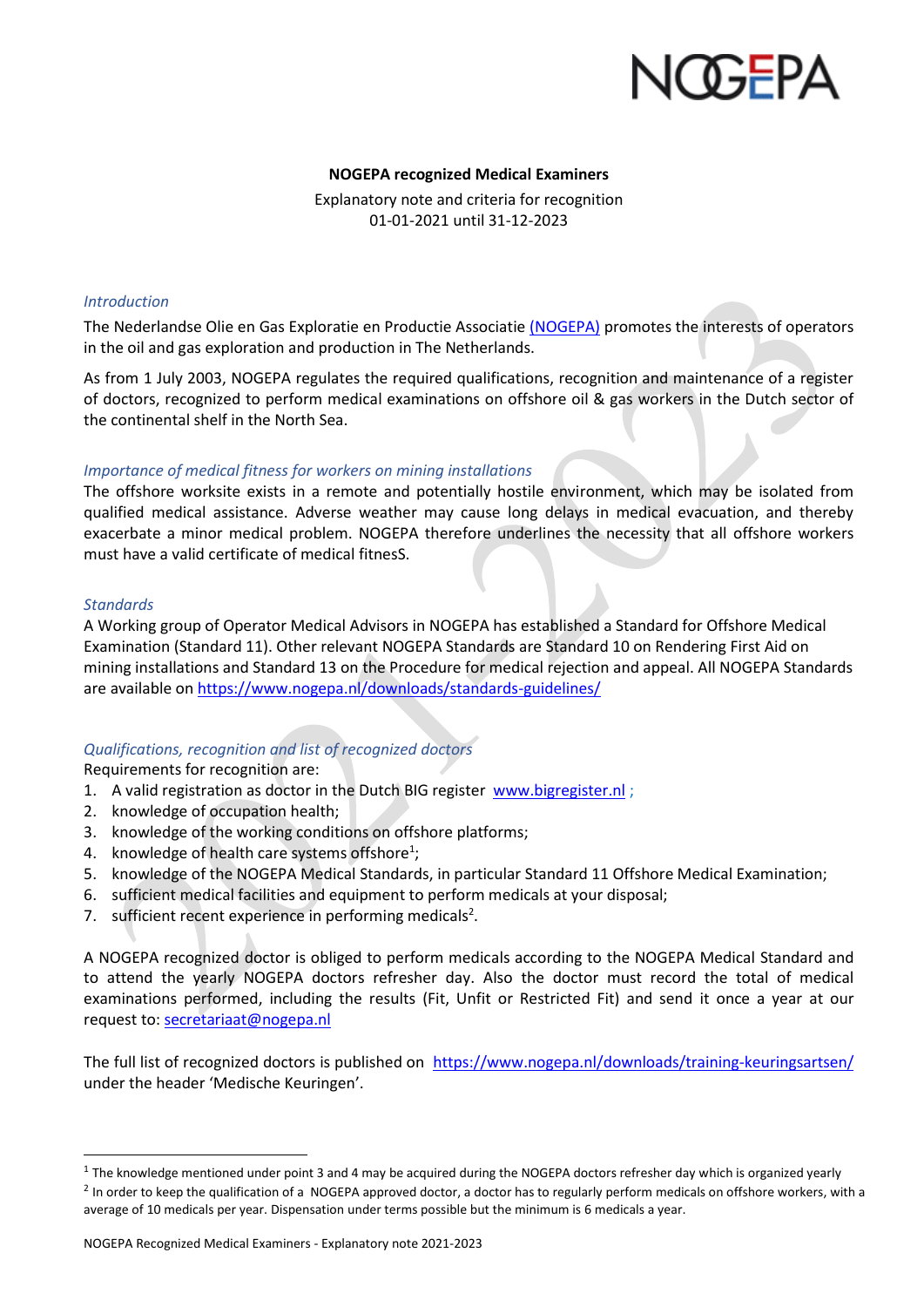

# **NOGEPA recognized Medical Examiners**

Explanatory note and criteria for recognition 01-01-2021 until 31-12-2023

# *Introduction*

The Nederlandse Olie en Gas Exploratie en Productie Associatie [\(NOGEPA\)](https://www.onsaardgas.nl/) promotes the interests of operators in the oil and gas exploration and production in The Netherlands.

As from 1 July 2003, NOGEPA regulates the required qualifications, recognition and maintenance of a register of doctors, recognized to perform medical examinations on offshore oil & gas workers in the Dutch sector of the continental shelf in the North Sea.

# *Importance of medical fitness for workers on mining installations*

The offshore worksite exists in a remote and potentially hostile environment, which may be isolated from qualified medical assistance. Adverse weather may cause long delays in medical evacuation, and thereby exacerbate a minor medical problem. NOGEPA therefore underlines the necessity that all offshore workers must have a valid certificate of medical fitnesS.

#### *Standards*

A Working group of Operator Medical Advisors in NOGEPA has established a Standard for Offshore Medical Examination (Standard 11). Other relevant NOGEPA Standards are Standard 10 on Rendering First Aid on mining installations and Standard 13 on the Procedure for medical rejection and appeal. All NOGEPA Standards are available on <https://www.nogepa.nl/downloads/standards-guidelines/>

# *Qualifications, recognition and list of recognized doctors*

Requirements for recognition are:

- 1. A valid registration as doctor in the Dutch BIG register [www.bigregister.nl](http://www.bigregister.nl/) ;
- 2. knowledge of occupation health;
- 3. knowledge of the working conditions on offshore platforms;
- 4. knowledge of health care systems offshore<sup>1</sup>;
- 5. knowledge of the NOGEPA Medical Standards, in particular Standard 11 Offshore Medical Examination;
- 6. sufficient medical facilities and equipment to perform medicals at your disposal;
- 7. sufficient recent experience in performing medicals<sup>2</sup>.

A NOGEPA recognized doctor is obliged to perform medicals according to the NOGEPA Medical Standard and to attend the yearly NOGEPA doctors refresher day. Also the doctor must record the total of medical examinations performed, including the results (Fit, Unfit or Restricted Fit) and send it once a year at our request to: [secretariaat@nogepa.nl](mailto:secretariaat@nogepa.nl)

The full list of recognized doctors is published on <https://www.nogepa.nl/downloads/training-keuringsartsen/> under the header 'Medische Keuringen'.

 $^1$  The knowledge mentioned under point 3 and 4 may be acquired during the NOGEPA doctors refresher day which is organized yearly <sup>2</sup> In order to keep the qualification of a NOGEPA approved doctor, a doctor has to regularly perform medicals on offshore workers, with a average of 10 medicals per year. Dispensation under terms possible but the minimum is 6 medicals a year.